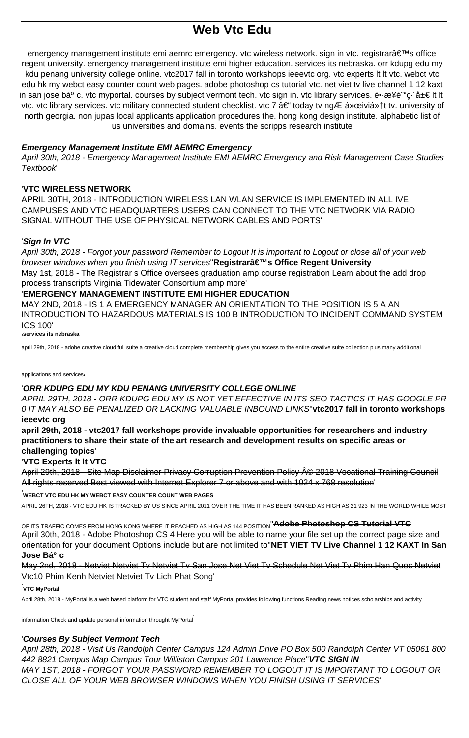# **Web Vtc Fdu**

emergency management institute emi aemrc emergency. vtc wireless network. sign in vtc. registrar's office regent university, emergency management institute emi higher education, services its nebraska, orr kdupg edu my kdu penang university college online. vtc2017 fall in toronto workshops ieeevtc org. vtc experts It It vtc. webct vtc edu hk my webct easy counter count web pages. adobe photoshop cs tutorial vtc. net viet tv live channel 1 12 kaxt in san jose bá<sup>o-</sup>c. vtc myportal. courses by subject vermont tech. vtc sign in. vtc library services. è•æ¥è "c· â±€ lt lt vtc. vtc library services. vtc military connected student checklist. vtc 7 – today tv ngÆ á»œiviỆt tv. university of north georgia, non jupas local applicants application procedures the, hong kong design institute, alphabetic list of us universities and domains. events the scripps research institute

#### **Emergency Management Institute EMI AEMRC Emergency**

April 30th, 2018 - Emergency Management Institute EMI AEMRC Emergency and Risk Management Case Studies **Textbook** 

#### **'VTC WIRELESS NETWORK**

APRIL 30TH, 2018 - INTRODUCTION WIRELESS LAN WLAN SERVICE IS IMPLEMENTED IN ALL IVE CAMPUSES AND VTC HEADQUARTERS USERS CAN CONNECT TO THE VTC NETWORK VIA RADIO SIGNAL WITHOUT THE USE OF PHYSICAL NETWORK CABLES AND PORTS'

#### 'Sign In VTC

April 30th, 2018 - Forgot your password Remember to Logout It is important to Logout or close all of your web browser windows when you finish using IT services"Registrar's Office Regent University May 1st, 2018 - The Registrar s Office oversees graduation amp course registration Learn about the add drop process transcripts Virginia Tidewater Consortium amp more'

## 'EMERGENCY MANAGEMENT INSTITUTE EMI HIGHER EDUCATION

MAY 2ND, 2018 - IS 1 A EMERGENCY MANAGER AN ORIENTATION TO THE POSITION IS 5 A AN INTRODUCTION TO HAZARDOUS MATERIALS IS 100 B INTRODUCTION TO INCIDENT COMMAND SYSTEM **ICS 100'** 

services its nebraska

april 29th, 2018 - adobe creative cloud full suite a creative cloud complete membership gives you access to the entire creative suite collection plus many additional

#### applications and services

## 'ORR KDUPG EDU MY KDU PENANG UNIVERSITY COLLEGE ONLINE

APRIL 29TH, 2018 - ORR KDUPG EDU MY IS NOT YET EFFECTIVE IN ITS SEO TACTICS IT HAS GOOGLE PR 0 IT MAY ALSO BE PENALIZED OR LACKING VALUABLE INBOUND LINKS"vtc2017 fall in toronto workshops ieeevtc org

april 29th, 2018 - vtc2017 fall workshops provide invaluable opportunities for researchers and industry practitioners to share their state of the art research and development results on specific areas or challenging topics'

#### **VTC Experts It It VTC**

April 29th, 2018 - Site Map Disclaimer Privacy Corruption Prevention Policy © 2018 Vocational Training Council All rights reserved Best viewed with Internet Explorer 7 or above and with 1024 x 768 resolution'

#### .<br>WEBCT VTC EDU HK MY WEBCT EASY COUNTER COUNT WEB PAGES

APRIL 26TH. 2018 - VTC EDU HK IS TRACKED BY US SINCE APRIL 2011 OVER THE TIME IT HAS BEEN RANKED AS HIGH AS 21 923 IN THE WORLD WHILE MOST

OF ITS TRAFFIC COMES FROM HONG KONG WHERE IT REACHED AS HIGH AS 144 POSITION "**Adobe Photoshop CS Tutorial VTC** April 30th, 2018 - Adobe Photoshop CS 4 Here you will be able to name your file set up the correct page size and orientation for your document Options include but are not limited to"NET VIET TV Live Channel 1 12 KAXT In San <del>Jose BẠc</del>

May 2nd, 2018 - Netviet Netviet Ty Netviet Ty San Jose Net Viet Ty Schedule Net Viet Ty Phim Han Quoc Netviet Vtc10 Phim Kenh Netviet Netviet Tv Lich Phat Song'

#### VTC MvPortal

April 28th, 2018 - MyPortal is a web based platform for VTC student and staff MyPortal provides following functions Reading news notices scholarships and activity

information Check and update personal information throught MyPortal

#### 'Courses By Subject Vermont Tech

April 28th, 2018 - Visit Us Randolph Center Campus 124 Admin Drive PO Box 500 Randolph Center VT 05061 800 442 8821 Campus Map Campus Tour Williston Campus 201 Lawrence Place" VTC SIGN IN MAY 1ST, 2018 - FORGOT YOUR PASSWORD REMEMBER TO LOGOUT IT IS IMPORTANT TO LOGOUT OR CLOSE ALL OF YOUR WEB BROWSER WINDOWS WHEN YOU FINISH USING IT SERVICES